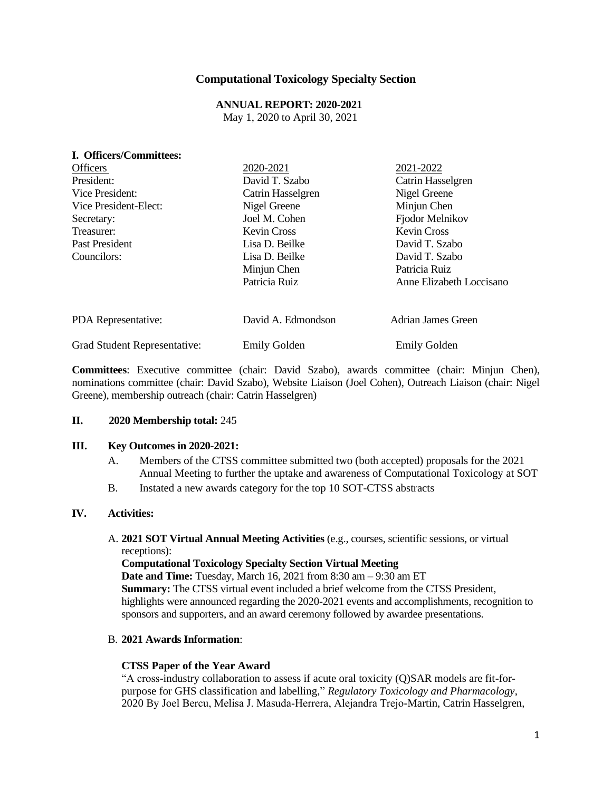## **Computational Toxicology Specialty Section**

# **ANNUAL REPORT: 2020-2021**

May 1, 2020 to April 30, 2021

| I. Officers/Committees:      |                     |                          |
|------------------------------|---------------------|--------------------------|
| <b>Officers</b>              | 2020-2021           | 2021-2022                |
| President:                   | David T. Szabo      | Catrin Hasselgren        |
| Vice President:              | Catrin Hasselgren   | Nigel Greene             |
| Vice President-Elect:        | Nigel Greene        | Minjun Chen              |
| Secretary:                   | Joel M. Cohen       | Fjodor Melnikov          |
| Treasurer:                   | <b>Kevin Cross</b>  | <b>Kevin Cross</b>       |
| Past President               | Lisa D. Beilke      | David T. Szabo           |
| Councilors:                  | Lisa D. Beilke      | David T. Szabo           |
|                              | Minjun Chen         | Patricia Ruiz            |
|                              | Patricia Ruiz       | Anne Elizabeth Loccisano |
| PDA Representative:          | David A. Edmondson  | Adrian James Green       |
| Grad Student Representative: | <b>Emily Golden</b> | <b>Emily Golden</b>      |

**Committees**: Executive committee (chair: David Szabo), awards committee (chair: Minjun Chen), nominations committee (chair: David Szabo), Website Liaison (Joel Cohen), Outreach Liaison (chair: Nigel Greene), membership outreach (chair: Catrin Hasselgren)

#### **II. 2020 Membership total:** 245

#### **III. Key Outcomes in 2020-2021:**

- A. Members of the CTSS committee submitted two (both accepted) proposals for the 2021 Annual Meeting to further the uptake and awareness of Computational Toxicology at SOT
- B. Instated a new awards category for the top 10 SOT-CTSS abstracts

### **IV. Activities:**

### A. **2021 SOT Virtual Annual Meeting Activities** (e.g., courses, scientific sessions, or virtual receptions):

#### **Computational Toxicology Specialty Section Virtual Meeting**

**Date and Time:** Tuesday, March 16, 2021 from 8:30 am – 9:30 am ET **Summary:** The CTSS virtual event included a brief welcome from the CTSS President, highlights were announced regarding the 2020-2021 events and accomplishments, recognition to sponsors and supporters, and an award ceremony followed by awardee presentations.

### B. **2021 Awards Information**:

### **CTSS Paper of the Year Award**

"A cross-industry collaboration to assess if acute oral toxicity (Q)SAR models are fit-forpurpose for GHS classification and labelling," *Regulatory Toxicology and Pharmacology*, 2020 By Joel Bercu, Melisa J. Masuda‐Herrera, Alejandra Trejo-Martin, Catrin Hasselgren,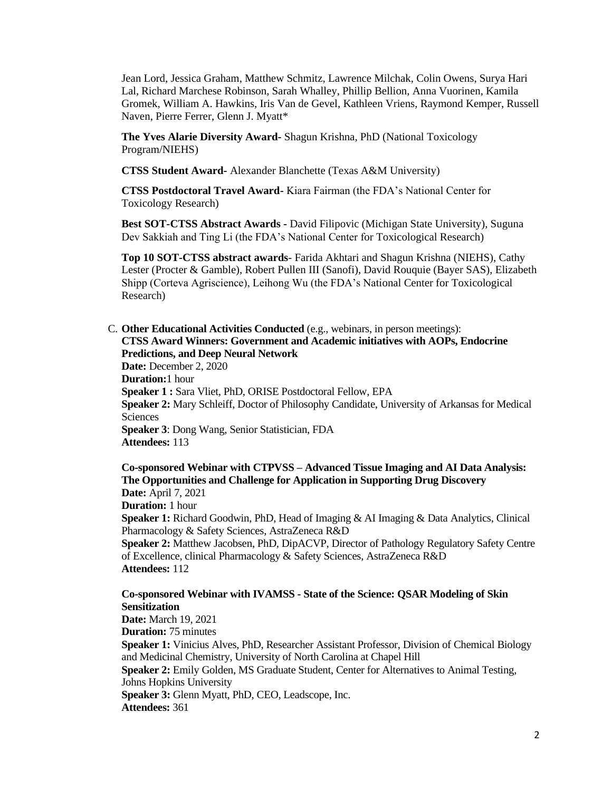Jean Lord, Jessica Graham, Matthew Schmitz, Lawrence Milchak, Colin Owens, Surya Hari Lal, Richard Marchese Robinson, Sarah Whalley, Phillip Bellion, Anna Vuorinen, Kamila Gromek, William A. Hawkins, Iris Van de Gevel, Kathleen Vriens, Raymond Kemper, Russell Naven, Pierre Ferrer, Glenn J. Myatt\*

**The Yves Alarie Diversity Award-** Shagun Krishna, PhD (National Toxicology Program/NIEHS)

**CTSS Student Award-** Alexander Blanchette (Texas A&M University)

**CTSS Postdoctoral Travel Award-** Kiara Fairman (the FDA's National Center for Toxicology Research)

**Best SOT-CTSS Abstract Awards -** David Filipovic (Michigan State University), Suguna Dev Sakkiah and Ting Li (the FDA's National Center for Toxicological Research)

**Top 10 SOT-CTSS abstract awards**- Farida Akhtari and Shagun Krishna (NIEHS), Cathy Lester (Procter & Gamble), Robert Pullen III (Sanofi), David Rouquie (Bayer SAS), Elizabeth Shipp (Corteva Agriscience), Leihong Wu (the FDA's National Center for Toxicological Research)

C. **Other Educational Activities Conducted** (e.g., webinars, in person meetings): **CTSS Award Winners: Government and Academic initiatives with AOPs, Endocrine Predictions, and Deep Neural Network**

**Date:** December 2, 2020 **Duration:**1 hour **Speaker 1 :** Sara Vliet, PhD, ORISE Postdoctoral Fellow, EPA **Speaker 2:** Mary Schleiff, Doctor of Philosophy Candidate, University of Arkansas for Medical Sciences **Speaker 3**: Dong Wang, Senior Statistician, FDA **Attendees:** 113

**Co-sponsored Webinar with CTPVSS – Advanced Tissue Imaging and AI Data Analysis: The Opportunities and Challenge for Application in Supporting Drug Discovery Date:** April 7, 2021 **Duration:** 1 hour **Speaker 1:** Richard Goodwin, PhD, Head of Imaging & AI Imaging & Data Analytics, Clinical Pharmacology & Safety Sciences, AstraZeneca R&D **Speaker 2:** Matthew Jacobsen, PhD, DipACVP, Director of Pathology Regulatory Safety Centre of Excellence, clinical Pharmacology & Safety Sciences, AstraZeneca R&D **Attendees:** 112

### **Co-sponsored Webinar with IVAMSS - State of the Science: QSAR Modeling of Skin Sensitization Date:** March 19, 2021 **Duration:** 75 minutes **Speaker 1:** Vinicius Alves, PhD, Researcher Assistant Professor, Division of Chemical Biology and Medicinal Chemistry, University of North Carolina at Chapel Hill **Speaker 2:** Emily Golden, MS Graduate Student, Center for Alternatives to Animal Testing, Johns Hopkins University **Speaker 3:** Glenn Myatt, PhD, CEO, Leadscope, Inc. **Attendees:** 361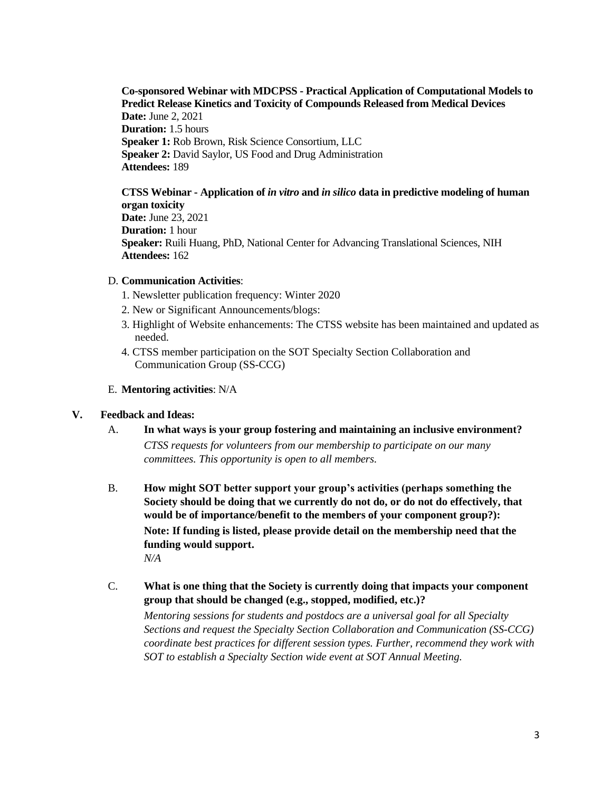**Co-sponsored Webinar with MDCPSS - Practical Application of Computational Models to Predict Release Kinetics and Toxicity of Compounds Released from Medical Devices Date:** June 2, 2021 **Duration:** 1.5 hours **Speaker 1:** Rob Brown, Risk Science Consortium, LLC **Speaker 2:** David Saylor, US Food and Drug Administration **Attendees:** 189

**CTSS Webinar - Application of** *in vitro* **and** *in silico* **data in predictive modeling of human organ toxicity Date:** June 23, 2021 **Duration:** 1 hour **Speaker:** Ruili Huang, PhD, National Center for Advancing Translational Sciences, NIH **Attendees:** 162

#### D. **Communication Activities**:

- 1. Newsletter publication frequency: Winter 2020
- 2. New or Significant Announcements/blogs:
- 3. Highlight of Website enhancements: The CTSS website has been maintained and updated as needed.
- 4. CTSS member participation on the SOT Specialty Section Collaboration and Communication Group (SS-CCG)

#### E. **Mentoring activities**: N/A

#### **V. Feedback and Ideas:**

- A. **In what ways is your group fostering and maintaining an inclusive environment?** *CTSS requests for volunteers from our membership to participate on our many committees. This opportunity is open to all members.*
- B. **How might SOT better support your group's activities (perhaps something the Society should be doing that we currently do not do, or do not do effectively, that would be of importance/benefit to the members of your component group?): Note: If funding is listed, please provide detail on the membership need that the funding would support.** *N/A*
- C. **What is one thing that the Society is currently doing that impacts your component group that should be changed (e.g., stopped, modified, etc.)?**

*Mentoring sessions for students and postdocs are a universal goal for all Specialty Sections and request the Specialty Section Collaboration and Communication (SS-CCG) coordinate best practices for different session types. Further, recommend they work with SOT to establish a Specialty Section wide event at SOT Annual Meeting.*